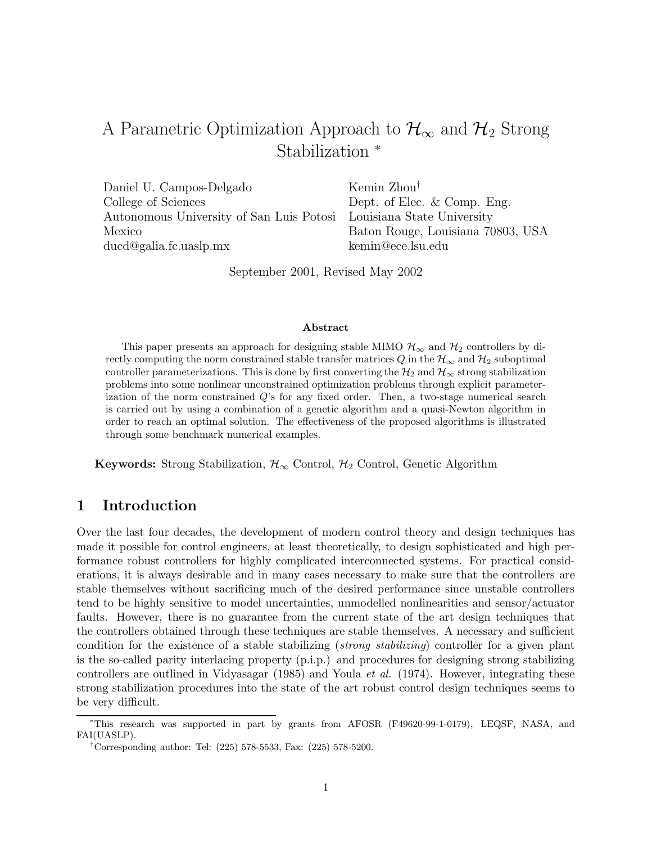# A Parametric Optimization Approach to  $\mathcal{H}_{\infty}$  and  $\mathcal{H}_{2}$  Strong Stabilization <sup>∗</sup>

Daniel U. Campos-Delgado Kemin Zhou<sup>†</sup> College of Sciences Dept. of Elec. & Comp. Eng. Autonomous University of San Luis Potosi Louisiana State University Mexico Baton Rouge, Louisiana 70803, USA ducd@galia.fc.uaslp.mx kemin@ece.lsu.edu

September 2001, Revised May 2002

#### **Abstract**

This paper presents an approach for designing stable MIMO  $\mathcal{H}_{\infty}$  and  $\mathcal{H}_{2}$  controllers by directly computing the norm constrained stable transfer matrices Q in the  $\mathcal{H}_{\infty}$  and  $\mathcal{H}_{2}$  suboptimal controller parameterizations. This is done by first converting the  $\mathcal{H}_2$  and  $\mathcal{H}_{\infty}$  strong stabilization problems into some nonlinear unconstrained optimization problems through explicit parameterization of the norm constrained Q's for any fixed order. Then, a two-stage numerical search is carried out by using a combination of a genetic algorithm and a quasi-Newton algorithm in order to reach an optimal solution. The effectiveness of the proposed algorithms is illustrated through some benchmark numerical examples.

**Keywords:** Strong Stabilization,  $\mathcal{H}_{\infty}$  Control,  $\mathcal{H}_{2}$  Control, Genetic Algorithm

### **1 Introduction**

Over the last four decades, the development of modern control theory and design techniques has made it possible for control engineers, at least theoretically, to design sophisticated and high performance robust controllers for highly complicated interconnected systems. For practical considerations, it is always desirable and in many cases necessary to make sure that the controllers are stable themselves without sacrificing much of the desired performance since unstable controllers tend to be highly sensitive to model uncertainties, unmodelled nonlinearities and sensor/actuator faults. However, there is no guarantee from the current state of the art design techniques that the controllers obtained through these techniques are stable themselves. A necessary and sufficient condition for the existence of a stable stabilizing (strong stabilizing) controller for a given plant is the so-called parity interlacing property (p.i.p.) and procedures for designing strong stabilizing controllers are outlined in Vidyasagar (1985) and Youla et al. (1974). However, integrating these strong stabilization procedures into the state of the art robust control design techniques seems to be very difficult.

<sup>∗</sup>This research was supported in part by grants from AFOSR (F49620-99-1-0179), LEQSF, NASA, and FAI(UASLP).

<sup>†</sup>Corresponding author: Tel: (225) 578-5533, Fax: (225) 578-5200.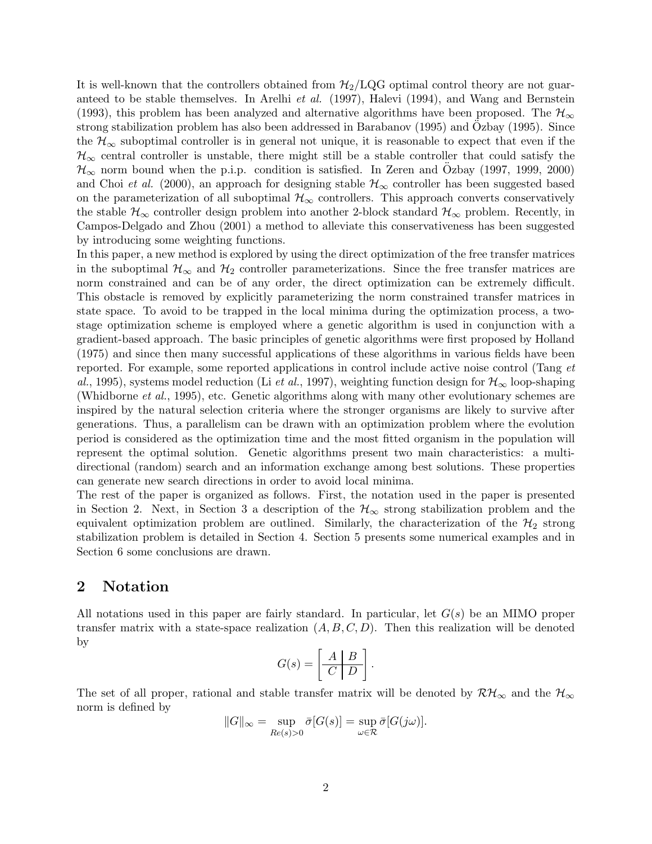It is well-known that the controllers obtained from  $H_2/LQG$  optimal control theory are not guaranteed to be stable themselves. In Arelhi *et al.* (1997), Halevi (1994), and Wang and Bernstein (1993), this problem has been analyzed and alternative algorithms have been proposed. The  $\mathcal{H}_{\infty}$ strong stabilization problem has also been addressed in Barabanov (1995) and Ozbay (1995). Since the  $\mathcal{H}_{\infty}$  suboptimal controller is in general not unique, it is reasonable to expect that even if the  $\mathcal{H}_{\infty}$  central controller is unstable, there might still be a stable controller that could satisfy the  $\mathcal{H}_{\infty}$  norm bound when the p.i.p. condition is satisfied. In Zeren and Ozbay (1997, 1999, 2000) and Choi et al. (2000), an approach for designing stable  $\mathcal{H}_{\infty}$  controller has been suggested based on the parameterization of all suboptimal  $\mathcal{H}_{\infty}$  controllers. This approach converts conservatively the stable  $\mathcal{H}_{\infty}$  controller design problem into another 2-block standard  $\mathcal{H}_{\infty}$  problem. Recently, in Campos-Delgado and Zhou (2001) a method to alleviate this conservativeness has been suggested by introducing some weighting functions.

In this paper, a new method is explored by using the direct optimization of the free transfer matrices in the suboptimal  $\mathcal{H}_{\infty}$  and  $\mathcal{H}_{2}$  controller parameterizations. Since the free transfer matrices are norm constrained and can be of any order, the direct optimization can be extremely difficult. This obstacle is removed by explicitly parameterizing the norm constrained transfer matrices in state space. To avoid to be trapped in the local minima during the optimization process, a twostage optimization scheme is employed where a genetic algorithm is used in conjunction with a gradient-based approach. The basic principles of genetic algorithms were first proposed by Holland (1975) and since then many successful applications of these algorithms in various fields have been reported. For example, some reported applications in control include active noise control (Tang et al., 1995), systems model reduction (Li et al., 1997), weighting function design for  $\mathcal{H}_{\infty}$  loop-shaping (Whidborne et al., 1995), etc. Genetic algorithms along with many other evolutionary schemes are inspired by the natural selection criteria where the stronger organisms are likely to survive after generations. Thus, a parallelism can be drawn with an optimization problem where the evolution period is considered as the optimization time and the most fitted organism in the population will represent the optimal solution. Genetic algorithms present two main characteristics: a multidirectional (random) search and an information exchange among best solutions. These properties can generate new search directions in order to avoid local minima.

The rest of the paper is organized as follows. First, the notation used in the paper is presented in Section 2. Next, in Section 3 a description of the  $\mathcal{H}_{\infty}$  strong stabilization problem and the equivalent optimization problem are outlined. Similarly, the characterization of the  $\mathcal{H}_2$  strong stabilization problem is detailed in Section 4. Section 5 presents some numerical examples and in Section 6 some conclusions are drawn.

### **2 Notation**

All notations used in this paper are fairly standard. In particular, let  $G(s)$  be an MIMO proper transfer matrix with a state-space realization  $(A, B, C, D)$ . Then this realization will be denoted by

$$
G(s) = \left[\begin{array}{c|c} A & B \\ \hline C & D \end{array}\right].
$$

The set of all proper, rational and stable transfer matrix will be denoted by  $\mathcal{RH}_{\infty}$  and the  $\mathcal{H}_{\infty}$ norm is defined by

$$
||G||_{\infty} = \sup_{Re(s)>0} \bar{\sigma}[G(s)] = \sup_{\omega \in \mathcal{R}} \bar{\sigma}[G(j\omega)].
$$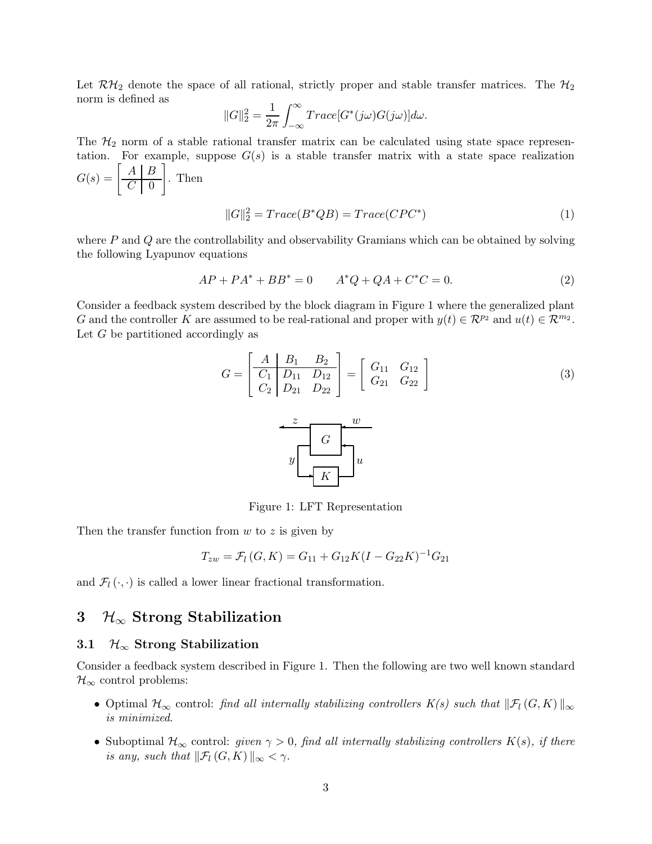Let  $\mathcal{RH}_2$  denote the space of all rational, strictly proper and stable transfer matrices. The  $\mathcal{H}_2$ norm is defined as

$$
||G||_2^2 = \frac{1}{2\pi} \int_{-\infty}^{\infty} Trace[G^*(j\omega)G(j\omega)]d\omega.
$$

The  $H_2$  norm of a stable rational transfer matrix can be calculated using state space representation. For example, suppose  $G(s)$  is a stable transfer matrix with a state space realization

$$
G(s) = \left[\begin{array}{c|c} A & B \\ \hline C & 0 \end{array}\right].
$$
 Then  

$$
||G||_2^2 = Trace(B^*QB) = Trace(CPC^*)
$$
 (1)

where  $P$  and  $Q$  are the controllability and observability Gramians which can be obtained by solving the following Lyapunov equations

$$
AP + PA^* + BB^* = 0 \t A^*Q + QA + C^*C = 0.
$$
 (2)

Consider a feedback system described by the block diagram in Figure 1 where the generalized plant G and the controller K are assumed to be real-rational and proper with  $y(t) \in \mathcal{R}^{p_2}$  and  $u(t) \in \mathcal{R}^{m_2}$ . Let G be partitioned accordingly as

$$
G = \begin{bmatrix} A & B_1 & B_2 \\ C_1 & D_{11} & D_{12} \\ C_2 & D_{21} & D_{22} \end{bmatrix} = \begin{bmatrix} G_{11} & G_{12} \\ G_{21} & G_{22} \end{bmatrix}
$$
 (3)



Figure 1: LFT Representation

Then the transfer function from  $w$  to  $z$  is given by

$$
T_{zw} = \mathcal{F}_l(G, K) = G_{11} + G_{12}K(I - G_{22}K)^{-1}G_{21}
$$

and  $\mathcal{F}_l(\cdot, \cdot)$  is called a lower linear fractional transformation.

# **3** H∞ **Strong Stabilization**

### **3.1** H<sup>∞</sup> **Strong Stabilization**

Consider a feedback system described in Figure 1. Then the following are two well known standard  $\mathcal{H}_{\infty}$  control problems:

- Optimal  $\mathcal{H}_{\infty}$  control: find all internally stabilizing controllers  $K(s)$  such that  $\|\mathcal{F}_l(G,K)\|_{\infty}$ is minimized.
- Suboptimal  $\mathcal{H}_{\infty}$  control: given  $\gamma > 0$ , find all internally stabilizing controllers  $K(s)$ , if there is any, such that  $\|\mathcal{F}_l(G,K)\|_{\infty} < \gamma$ .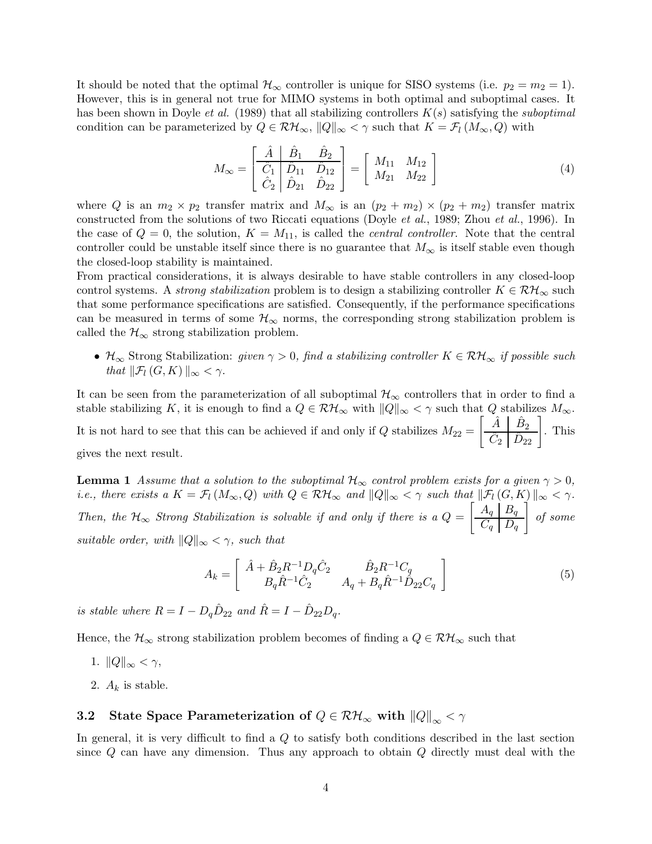It should be noted that the optimal  $\mathcal{H}_{\infty}$  controller is unique for SISO systems (i.e.  $p_2 = m_2 = 1$ ). However, this is in general not true for MIMO systems in both optimal and suboptimal cases. It has been shown in Doyle *et al.* (1989) that all stabilizing controllers  $K(s)$  satisfying the *suboptimal* condition can be parameterized by  $Q \in \mathcal{RH}_{\infty}$ ,  $||Q||_{\infty} < \gamma$  such that  $K = \mathcal{F}_l (M_{\infty}, Q)$  with

$$
M_{\infty} = \begin{bmatrix} \hat{A} & \hat{B}_1 & \hat{B}_2 \\ \hat{C}_1 & \hat{D}_{11} & \hat{D}_{12} \\ \hat{C}_2 & \hat{D}_{21} & \hat{D}_{22} \end{bmatrix} = \begin{bmatrix} M_{11} & M_{12} \\ M_{21} & M_{22} \end{bmatrix}
$$
(4)

where Q is an  $m_2 \times p_2$  transfer matrix and  $M_{\infty}$  is an  $(p_2 + m_2) \times (p_2 + m_2)$  transfer matrix constructed from the solutions of two Riccati equations (Doyle et al., 1989; Zhou et al., 1996). In the case of  $Q = 0$ , the solution,  $K = M_{11}$ , is called the *central controller*. Note that the central controller could be unstable itself since there is no guarantee that  $M_{\infty}$  is itself stable even though the closed-loop stability is maintained.

From practical considerations, it is always desirable to have stable controllers in any closed-loop control systems. A *strong stabilization* problem is to design a stabilizing controller  $K \in \mathcal{RH}_{\infty}$  such that some performance specifications are satisfied. Consequently, if the performance specifications can be measured in terms of some  $\mathcal{H}_{\infty}$  norms, the corresponding strong stabilization problem is called the  $\mathcal{H}_{\infty}$  strong stabilization problem.

•  $\mathcal{H}_{\infty}$  Strong Stabilization: given  $\gamma > 0$ , find a stabilizing controller  $K \in \mathcal{RH}_{\infty}$  if possible such that  $\|\mathcal{F}_l(G,K)\|_{\infty} < \gamma$ .

It can be seen from the parameterization of all suboptimal  $\mathcal{H}_{\infty}$  controllers that in order to find a stable stabilizing K, it is enough to find a  $Q \in \mathcal{RH}_{\infty}$  with  $||Q||_{\infty} < \gamma$  such that Q stabilizes  $M_{\infty}$ . It is not hard to see that this can be achieved if and only if  $Q$  stabilizes  $M_{22} =$  $\begin{bmatrix} \hat{A} & \hat{B}_2 \\ \hat{C}_2 & \hat{D}_{22} \end{bmatrix}$ . This gives the next result.

**Lemma 1** Assume that a solution to the suboptimal  $\mathcal{H}_{\infty}$  control problem exists for a given  $\gamma > 0$ , i.e., there exists a  $K = \mathcal{F}_l(M_\infty, Q)$  with  $Q \in \mathcal{RH}_\infty$  and  $||Q||_\infty < \gamma$  such that  $||\mathcal{F}_l(G,K)||_\infty < \gamma$ . Then, the  $H_{\infty}$  Strong Stabilization is solvable if and only if there is a  $Q =$  $\left[ \begin{array}{c|c} A_q & B_q \end{array} \right]$  $C_q \mid D_q$ ĺ of some suitable order, with  $||Q||_{\infty} < \gamma$ , such that

$$
A_k = \begin{bmatrix} \hat{A} + \hat{B}_2 R^{-1} D_q \hat{C}_2 & \hat{B}_2 R^{-1} C_q \\ B_q \hat{R}^{-1} \hat{C}_2 & A_q + B_q \hat{R}^{-1} \hat{D}_{22} C_q \end{bmatrix}
$$
(5)

is stable where  $R = I - D_q \hat{D}_{22}$  and  $\hat{R} = I - \hat{D}_{22} D_q$ .

Hence, the  $\mathcal{H}_{\infty}$  strong stabilization problem becomes of finding a  $Q \in \mathcal{RH}_{\infty}$  such that

- 1.  $||Q||_{\infty} < \gamma$ ,
- 2.  $A_k$  is stable.

## **3.2** State Space Parameterization of  $Q \in \mathcal{RH}_{\infty}$  with  $||Q||_{\infty} < \gamma$

In general, it is very difficult to find a  $Q$  to satisfy both conditions described in the last section since  $Q$  can have any dimension. Thus any approach to obtain  $Q$  directly must deal with the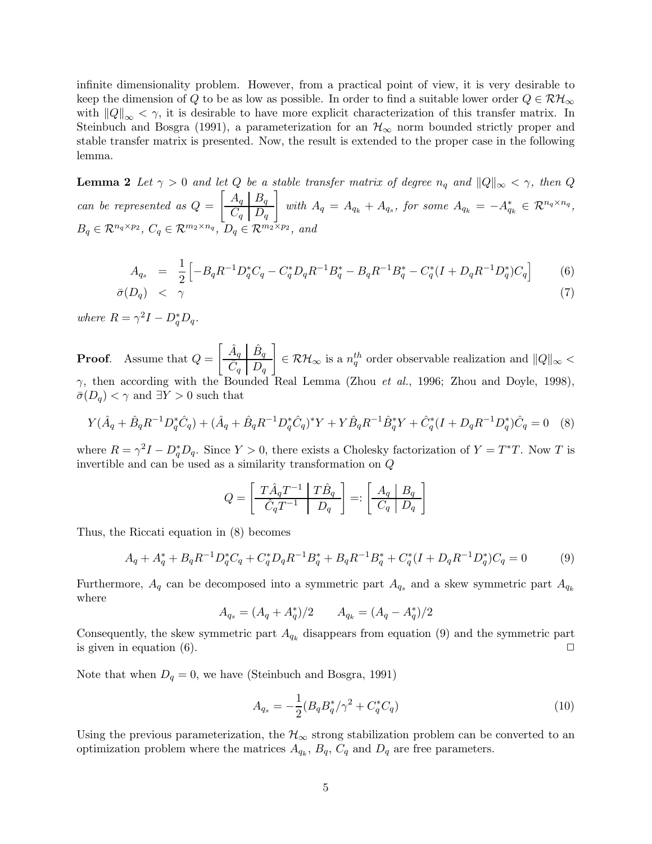infinite dimensionality problem. However, from a practical point of view, it is very desirable to keep the dimension of Q to be as low as possible. In order to find a suitable lower order  $Q \in \mathcal{RH}_{\infty}$ with  $||Q||_{\infty} < \gamma$ , it is desirable to have more explicit characterization of this transfer matrix. In Steinbuch and Bosgra (1991), a parameterization for an  $\mathcal{H}_{\infty}$  norm bounded strictly proper and stable transfer matrix is presented. Now, the result is extended to the proper case in the following lemma.

**Lemma 2** Let  $\gamma > 0$  and let Q be a stable transfer matrix of degree  $n_q$  and  $||Q||_{\infty} < \gamma$ , then Q can be represented as  $Q =$  $\left[ A_q \mid B_q \right]$  $C_q \mid D_q$  $\overline{1}$ with  $A_q = A_{q_k} + A_{q_s}$ , for some  $A_{q_k} = -A_{q_k}^* \in \mathcal{R}^{n_q \times n_q}$ ,  $B_q \in \mathcal{R}^{n_q \times p_2}$ ,  $C_q \in \mathcal{R}^{m_2 \times n_q}$ ,  $D_q \in \mathcal{R}^{m_2 \times p_2}$ , and

$$
A_{q_s} = \frac{1}{2} \left[ -B_q R^{-1} D_q^* C_q - C_q^* D_q R^{-1} B_q^* - B_q R^{-1} B_q^* - C_q^* (I + D_q R^{-1} D_q^*) C_q \right]
$$
(6)  

$$
\bar{\sigma}(D_q) < \gamma
$$
(7)

where  $R = \gamma^2 I - D_q^* D_q$ .

**Proof**. Assume that Q =  $\left[ \begin{array}{c|c} \hat A_q & \hat B_q \end{array} \right]$  $\hat{C}_q$   $\boxed{D_q}$ 1  $\in \mathcal{RH}_{\infty}$  is a  $n_q^{th}$  order observable realization and  $\|Q\|_{\infty}$  <  $\gamma$ , then according with the Bounded Real Lemma (Zhou *et al.*, 1996; Zhou and Doyle, 1998),  $\bar{\sigma}(D_q) < \gamma$  and  $\exists Y > 0$  such that

$$
Y(\hat{A}_q + \hat{B}_q R^{-1} D_q^* \hat{C}_q) + (\hat{A}_q + \hat{B}_q R^{-1} D_q^* \hat{C}_q)^* Y + Y \hat{B}_q R^{-1} \hat{B}_q^* Y + \hat{C}_q^* (I + D_q R^{-1} D_q^*) \hat{C}_q = 0 \quad (8)
$$

where  $R = \gamma^2 I - D_q^* D_q$ . Since  $Y > 0$ , there exists a Cholesky factorization of  $Y = T^*T$ . Now T is invertible and can be used as a similarity transformation on Q

$$
Q = \left[ \begin{array}{c|c} T\hat{A}_q T^{-1} & T\hat{B}_q \\ \hline \hat{C}_q T^{-1} & D_q \end{array} \right] =: \left[ \begin{array}{c|c} A_q & B_q \\ \hline C_q & D_q \end{array} \right]
$$

Thus, the Riccati equation in (8) becomes

$$
A_q + A_q^* + B_q R^{-1} D_q^* C_q + C_q^* D_q R^{-1} B_q^* + B_q R^{-1} B_q^* + C_q^* (I + D_q R^{-1} D_q^*) C_q = 0 \tag{9}
$$

Furthermore,  $A_q$  can be decomposed into a symmetric part  $A_{q_s}$  and a skew symmetric part  $A_{q_k}$ where

$$
A_{q_s} = (A_q + A_q^*)/2 \qquad A_{q_k} = (A_q - A_q^*)/2
$$

Consequently, the skew symmetric part  $A_{q_k}$  disappears from equation (9) and the symmetric part is given in equation  $(6)$ .

Note that when  $D_q = 0$ , we have (Steinbuch and Bosgra, 1991)

$$
A_{q_s} = -\frac{1}{2} (B_q B_q^* / \gamma^2 + C_q^* C_q)
$$
\n(10)

Using the previous parameterization, the  $\mathcal{H}_{\infty}$  strong stabilization problem can be converted to an optimization problem where the matrices  $A_{q_k}$ ,  $B_q$ ,  $C_q$  and  $D_q$  are free parameters.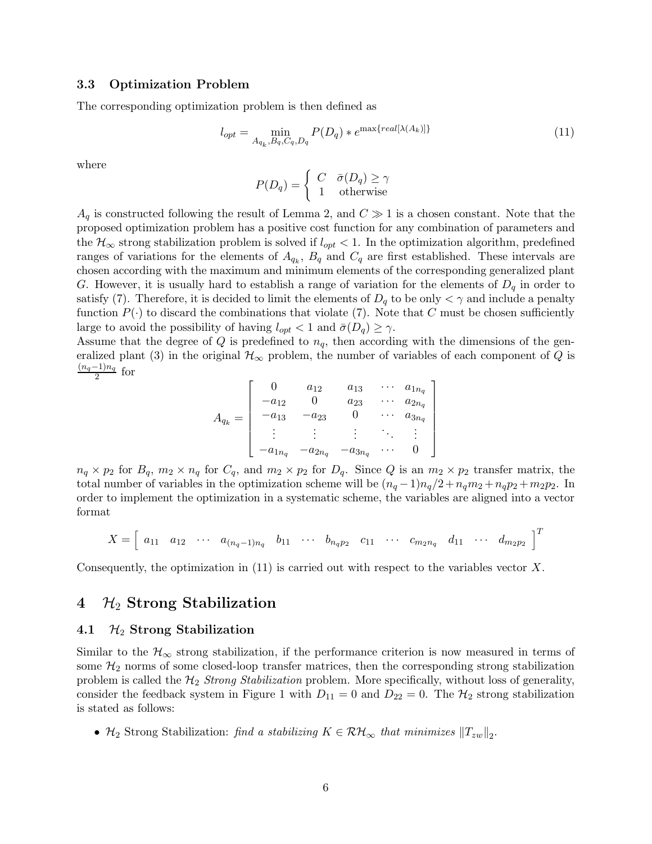#### **3.3 Optimization Problem**

The corresponding optimization problem is then defined as

$$
l_{opt} = \min_{A_{q_k}, B_q, C_q, D_q} P(D_q) * e^{\max\{real[\lambda(A_k)]\}} \tag{11}
$$

where

$$
P(D_q) = \begin{cases} C & \bar{\sigma}(D_q) \ge \gamma \\ 1 & \text{otherwise} \end{cases}
$$

 $A_q$  is constructed following the result of Lemma 2, and  $C \gg 1$  is a chosen constant. Note that the proposed optimization problem has a positive cost function for any combination of parameters and the  $\mathcal{H}_{\infty}$  strong stabilization problem is solved if  $l_{opt} < 1$ . In the optimization algorithm, predefined ranges of variations for the elements of  $A_{q_k}$ ,  $B_q$  and  $C_q$  are first established. These intervals are chosen according with the maximum and minimum elements of the corresponding generalized plant G. However, it is usually hard to establish a range of variation for the elements of  $D_q$  in order to satisfy (7). Therefore, it is decided to limit the elements of  $D_q$  to be only  $\lt \gamma$  and include a penalty function  $P(\cdot)$  to discard the combinations that violate (7). Note that C must be chosen sufficiently large to avoid the possibility of having  $l_{opt} < 1$  and  $\bar{\sigma}(D_q) \geq \gamma$ .

Assume that the degree of Q is predefined to  $n_q$ , then according with the dimensions of the generalized plant (3) in the original  $\mathcal{H}_{\infty}$  problem, the number of variables of each component of Q is  $\frac{(n_q-1)n_q}{2}$  for

$$
A_{q_k} = \begin{bmatrix} 0 & a_{12} & a_{13} & \cdots & a_{1n_q} \\ -a_{12} & 0 & a_{23} & \cdots & a_{2n_q} \\ -a_{13} & -a_{23} & 0 & \cdots & a_{3n_q} \\ \vdots & \vdots & \vdots & \ddots & \vdots \\ -a_{1n_q} & -a_{2n_q} & -a_{3n_q} & \cdots & 0 \end{bmatrix}
$$

 $n_q \times p_2$  for  $B_q$ ,  $m_2 \times n_q$  for  $C_q$ , and  $m_2 \times p_2$  for  $D_q$ . Since Q is an  $m_2 \times p_2$  transfer matrix, the total number of variables in the optimization scheme will be  $(n_q-1)n_q/2+n_qm_2+n_qp_2+m_2p_2$ . In order to implement the optimization in a systematic scheme, the variables are aligned into a vector format

$$
X = \begin{bmatrix} a_{11} & a_{12} & \cdots & a_{(n_q-1)n_q} & b_{11} & \cdots & b_{n_q p_2} & c_{11} & \cdots & c_{m_2 n_q} & d_{11} & \cdots & d_{m_2 p_2} \end{bmatrix}^T
$$

Consequently, the optimization in  $(11)$  is carried out with respect to the variables vector X.

### **4** H<sup>2</sup> **Strong Stabilization**

#### **4.1** H<sup>2</sup> **Strong Stabilization**

Similar to the  $\mathcal{H}_{\infty}$  strong stabilization, if the performance criterion is now measured in terms of some  $\mathcal{H}_2$  norms of some closed-loop transfer matrices, then the corresponding strong stabilization problem is called the  $\mathcal{H}_2$  Strong Stabilization problem. More specifically, without loss of generality, consider the feedback system in Figure 1 with  $D_{11} = 0$  and  $D_{22} = 0$ . The  $H_2$  strong stabilization is stated as follows:

•  $\mathcal{H}_2$  Strong Stabilization: find a stabilizing  $K \in \mathcal{RH}_{\infty}$  that minimizes  $||T_{zw}||_2$ .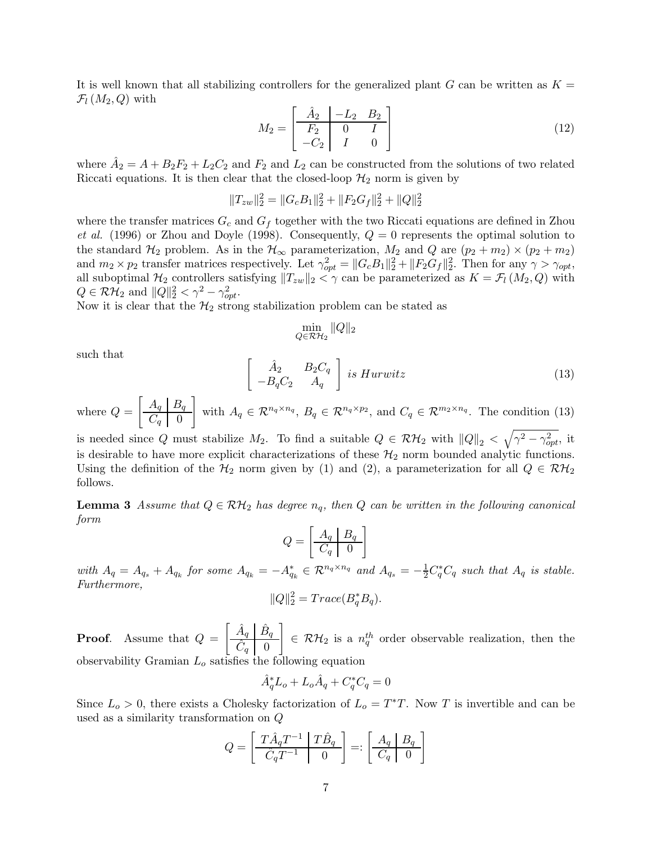It is well known that all stabilizing controllers for the generalized plant G can be written as  $K =$  $\mathcal{F}_l(M_2,Q)$  with

$$
M_2 = \begin{bmatrix} \hat{A}_2 & -L_2 & B_2 \\ \overline{F_2} & 0 & I \\ -C_2 & I & 0 \end{bmatrix}
$$
 (12)

where  $\hat{A}_2 = A + B_2F_2 + L_2C_2$  and  $F_2$  and  $L_2$  can be constructed from the solutions of two related Riccati equations. It is then clear that the closed-loop  $\mathcal{H}_2$  norm is given by

$$
||T_{zw}||_2^2 = ||G_cB_1||_2^2 + ||F_2G_f||_2^2 + ||Q||_2^2
$$

where the transfer matrices  $G_c$  and  $G_f$  together with the two Riccati equations are defined in Zhou et al. (1996) or Zhou and Doyle (1998). Consequently,  $Q = 0$  represents the optimal solution to the standard  $\mathcal{H}_2$  problem. As in the  $\mathcal{H}_{\infty}$  parameterization,  $M_2$  and  $Q$  are  $(p_2 + m_2) \times (p_2 + m_2)$ and  $m_2 \times p_2$  transfer matrices respectively. Let  $\gamma_{opt}^2 = ||G_c B_1||_2^2 + ||F_2 G_f||_2^2$ . Then for any  $\gamma > \gamma_{opt}$ , all suboptimal  $\mathcal{H}_2$  controllers satisfying  $||T_{zw}||_2 < \gamma$  can be parameterized as  $K = \mathcal{F}_l(M_2, Q)$  with  $Q \in \mathcal{RH}_2$  and  $||Q||_2^2 < \gamma^2 - \gamma_{opt}^2$ .

Now it is clear that the  $\mathcal{H}_2$  strong stabilization problem can be stated as

$$
\min_{Q \in \mathcal{RH}_2} \|Q\|_2
$$

such that

$$
\begin{bmatrix}\n\hat{A}_2 & B_2 C_q \\
-B_q C_2 & A_q\n\end{bmatrix}\n\text{ is Hurwitz}\n\tag{13}
$$

where  $Q =$  $\left[ A_q \mid B_q \right]$  $C_q \parallel 0$ 1 with  $A_q \in \mathcal{R}^{n_q \times n_q}$ ,  $B_q \in \mathcal{R}^{n_q \times p_2}$ , and  $C_q \in \mathcal{R}^{m_2 \times n_q}$ . The condition (13)

is needed since Q must stabilize  $M_2$ . To find a suitable  $Q \in \mathcal{RH}_2$  with  $||Q||_2 < \sqrt{\gamma^2 - \gamma_{opt}^2}$ , it is desirable to have more explicit characterizations of these  $\mathcal{H}_2$  norm bounded analytic functions. Using the definition of the  $H_2$  norm given by (1) and (2), a parameterization for all  $Q \in \mathcal{RH}_2$ follows.

**Lemma 3** Assume that  $Q \in \mathcal{RH}_2$  has degree  $n_q$ , then Q can be written in the following canonical form

$$
Q = \left[\begin{array}{c|c} A_q & B_q \\ \hline C_q & 0 \end{array}\right]
$$

with  $A_q = A_{q_s} + A_{q_k}$  for some  $A_{q_k} = -A_{q_k}^* \in \mathcal{R}^{n_q \times n_q}$  and  $A_{q_s} = -\frac{1}{2}C_q^*C_q$  such that  $A_q$  is stable. Furthermore,

$$
||Q||_2^2 = Trace(B_q^* B_q).
$$

**Proof**. Assume that Q =  $\left[ \begin{array}{c|c} \hat A_q & \hat B_q \end{array} \right]$  $\hat{C}_q$  0 1  $\in \mathcal{RH}_2$  is a  $n_q^{th}$  order observable realization, then the observability Gramian  $L<sub>o</sub>$  satisfies the following equation

$$
\hat{A}_q^* L_o + L_o \hat{A}_q + C_q^* C_q = 0
$$

Since  $L_o > 0$ , there exists a Cholesky factorization of  $L_o = T^*T$ . Now T is invertible and can be used as a similarity transformation on Q

$$
Q = \left[ \begin{array}{c|c} T\hat{A}_q T^{-1} & T\hat{B}_q \\ \hline \hat{C}_q T^{-1} & 0 \end{array} \right] =: \left[ \begin{array}{c|c} A_q & B_q \\ \hline C_q & 0 \end{array} \right]
$$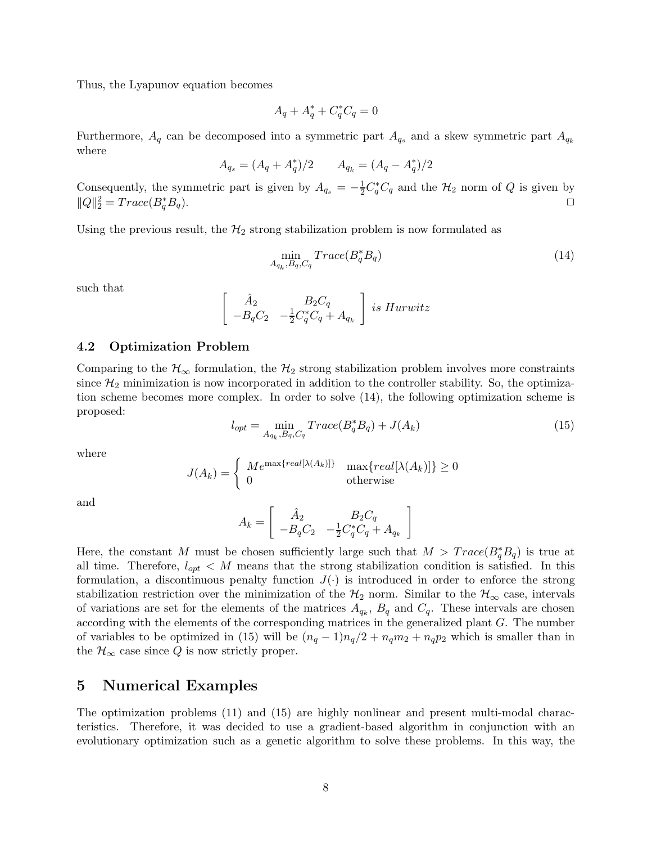Thus, the Lyapunov equation becomes

$$
A_q + A_q^* + C_q^* C_q = 0
$$

Furthermore,  $A_q$  can be decomposed into a symmetric part  $A_{q_s}$  and a skew symmetric part  $A_{q_k}$ where

$$
A_{q_s} = (A_q + A_q^*)/2 \qquad A_{q_k} = (A_q - A_q^*)/2
$$

Consequently, the symmetric part is given by  $A_{q_s} = -\frac{1}{2} C_q^* C_q$  and the  $\mathcal{H}_2$  norm of Q is given by  $||Q||_2^2 = Trace(B_q^*)$  $_q^*B_q$ ).

Using the previous result, the  $\mathcal{H}_2$  strong stabilization problem is now formulated as

$$
\min_{A_{q_k}, B_q, C_q} Trace(B_q^* B_q) \tag{14}
$$

such that

$$
\begin{bmatrix}\n\hat{A}_2 & B_2C_q \\
-B_qC_2 & -\frac{1}{2}C_q^*C_q + A_{q_k}\n\end{bmatrix}
$$
 is Hurwitz

#### **4.2 Optimization Problem**

Comparing to the  $\mathcal{H}_{\infty}$  formulation, the  $\mathcal{H}_{2}$  strong stabilization problem involves more constraints since  $\mathcal{H}_2$  minimization is now incorporated in addition to the controller stability. So, the optimization scheme becomes more complex. In order to solve (14), the following optimization scheme is proposed:

$$
l_{opt} = \min_{A_{q_k}, B_q, C_q} Trace(B_q^* B_q) + J(A_k)
$$
\n(15)

where

$$
J(A_k) = \begin{cases} Me^{\max\{real[\lambda(A_k)]\}} & \max\{real[\lambda(A_k)]\} \ge 0\\ 0 & \text{otherwise} \end{cases}
$$

and

$$
A_k = \left[\begin{array}{cc} \hat{A}_2 & B_2C_q \\ -B_qC_2 & -\frac{1}{2}C_q^*C_q+A_{q_k} \end{array}\right]
$$

Here, the constant M must be chosen sufficiently large such that  $M > Trace(B_q^*B_q)$  is true at all time. Therefore,  $l_{opt} < M$  means that the strong stabilization condition is satisfied. In this formulation, a discontinuous penalty function  $J(\cdot)$  is introduced in order to enforce the strong stabilization restriction over the minimization of the  $\mathcal{H}_2$  norm. Similar to the  $\mathcal{H}_{\infty}$  case, intervals of variations are set for the elements of the matrices  $A_{q_k}$ ,  $B_q$  and  $C_q$ . These intervals are chosen according with the elements of the corresponding matrices in the generalized plant G. The number of variables to be optimized in (15) will be  $(n_q - 1)n_q/2 + n_qm_2 + n_qp_2$  which is smaller than in the  $\mathcal{H}_{\infty}$  case since Q is now strictly proper.

### **5 Numerical Examples**

The optimization problems (11) and (15) are highly nonlinear and present multi-modal characteristics. Therefore, it was decided to use a gradient-based algorithm in conjunction with an evolutionary optimization such as a genetic algorithm to solve these problems. In this way, the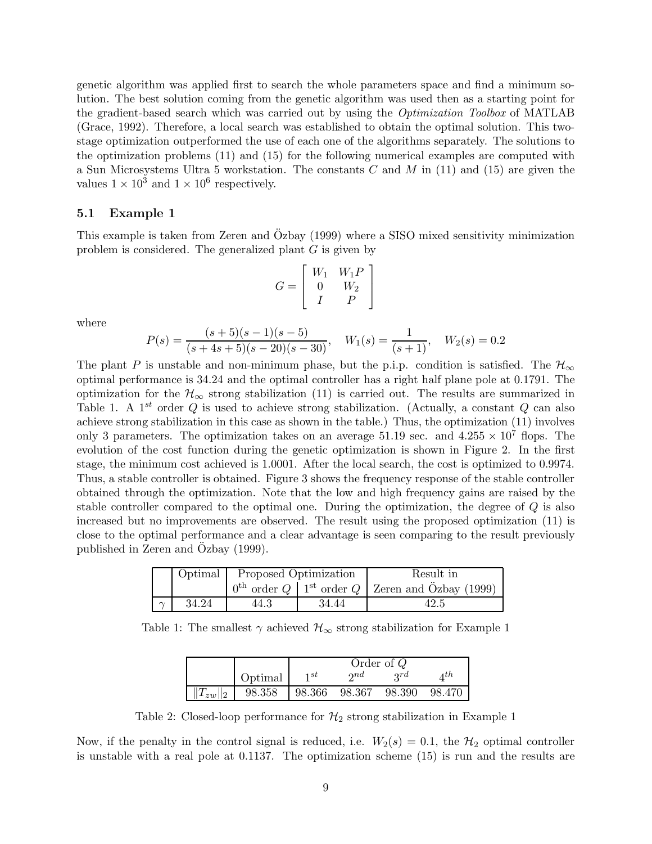genetic algorithm was applied first to search the whole parameters space and find a minimum solution. The best solution coming from the genetic algorithm was used then as a starting point for the gradient-based search which was carried out by using the Optimization Toolbox of MATLAB (Grace, 1992). Therefore, a local search was established to obtain the optimal solution. This twostage optimization outperformed the use of each one of the algorithms separately. The solutions to the optimization problems (11) and (15) for the following numerical examples are computed with a Sun Microsystems Ultra 5 workstation. The constants  $C$  and  $M$  in (11) and (15) are given the values  $1 \times 10^3$  and  $1 \times 10^6$  respectively.

#### **5.1 Example 1**

This example is taken from Zeren and Özbay (1999) where a SISO mixed sensitivity minimization problem is considered. The generalized plant  $G$  is given by

$$
G = \left[ \begin{array}{cc} W_1 & W_1 P \\ 0 & W_2 \\ I & P \end{array} \right]
$$

where

$$
P(s) = \frac{(s+5)(s-1)(s-5)}{(s+4s+5)(s-20)(s-30)}, \quad W_1(s) = \frac{1}{(s+1)}, \quad W_2(s) = 0.2
$$

The plant P is unstable and non-minimum phase, but the p.i.p. condition is satisfied. The  $\mathcal{H}_{\infty}$ optimal performance is 34.24 and the optimal controller has a right half plane pole at 0.1791. The optimization for the  $\mathcal{H}_{\infty}$  strong stabilization (11) is carried out. The results are summarized in Table 1. A  $1^{st}$  order Q is used to achieve strong stabilization. (Actually, a constant Q can also achieve strong stabilization in this case as shown in the table.) Thus, the optimization (11) involves only 3 parameters. The optimization takes on an average 51.19 sec. and  $4.255 \times 10^7$  flops. The evolution of the cost function during the genetic optimization is shown in Figure 2. In the first stage, the minimum cost achieved is 1.0001. After the local search, the cost is optimized to 0.9974. Thus, a stable controller is obtained. Figure 3 shows the frequency response of the stable controller obtained through the optimization. Note that the low and high frequency gains are raised by the stable controller compared to the optimal one. During the optimization, the degree of  $Q$  is also increased but no improvements are observed. The result using the proposed optimization (11) is close to the optimal performance and a clear advantage is seen comparing to the result previously published in Zeren and Ozbay (1999).

|        |       | Optimal Proposed Optimization |       | Result in                                                                          |  |  |
|--------|-------|-------------------------------|-------|------------------------------------------------------------------------------------|--|--|
|        |       |                               |       | $0^{\text{th}}$ order $Q \mid 1^{\text{st}}$ order $Q \mid$ Zeren and Özbay (1999) |  |  |
| $\sim$ | 34.24 | 44.3                          | 34.44 | 42.5                                                                               |  |  |

Table 1: The smallest  $\gamma$  achieved  $\mathcal{H}_{\infty}$  strong stabilization for Example 1

|                |         | Order of $Q$ |                        |        |        |
|----------------|---------|--------------|------------------------|--------|--------|
|                | Optimal | 1st          | $\boldsymbol{\eta}$ nd | 2rd    | 4th    |
| $  T_{zw}  _2$ | 98.358  | 98.366       | 98.367                 | 98.390 | 98.470 |

Table 2: Closed-loop performance for  $\mathcal{H}_2$  strong stabilization in Example 1

Now, if the penalty in the control signal is reduced, i.e.  $W_2(s)=0.1$ , the  $\mathcal{H}_2$  optimal controller is unstable with a real pole at 0.1137. The optimization scheme (15) is run and the results are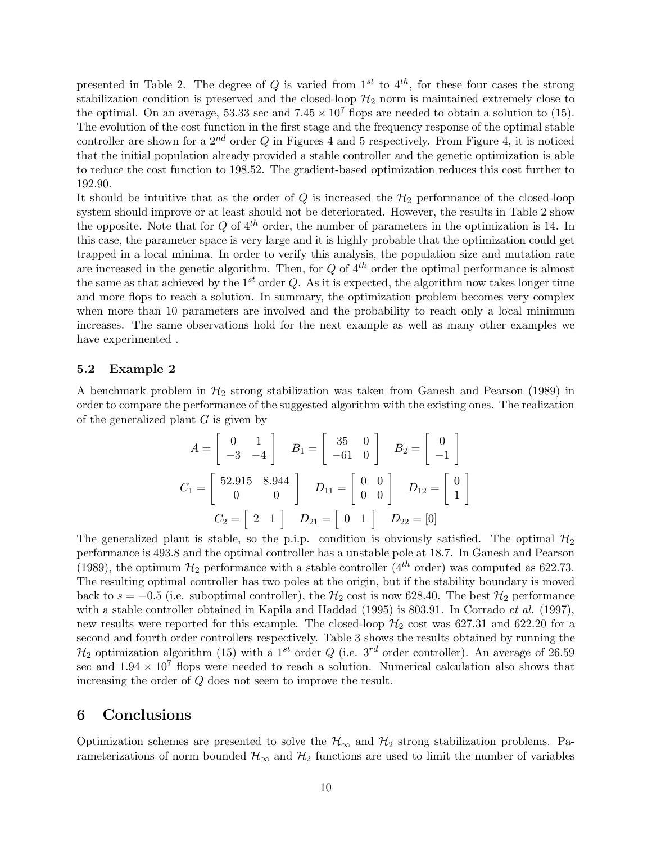presented in Table 2. The degree of Q is varied from  $1^{st}$  to  $4^{th}$ , for these four cases the strong stabilization condition is preserved and the closed-loop  $\mathcal{H}_2$  norm is maintained extremely close to the optimal. On an average, 53.33 sec and  $7.45 \times 10^7$  flops are needed to obtain a solution to (15). The evolution of the cost function in the first stage and the frequency response of the optimal stable controller are shown for a  $2^{nd}$  order Q in Figures 4 and 5 respectively. From Figure 4, it is noticed that the initial population already provided a stable controller and the genetic optimization is able to reduce the cost function to 198.52. The gradient-based optimization reduces this cost further to 192.90.

It should be intuitive that as the order of  $Q$  is increased the  $H_2$  performance of the closed-loop system should improve or at least should not be deteriorated. However, the results in Table 2 show the opposite. Note that for  $Q$  of  $4^{th}$  order, the number of parameters in the optimization is 14. In this case, the parameter space is very large and it is highly probable that the optimization could get trapped in a local minima. In order to verify this analysis, the population size and mutation rate are increased in the genetic algorithm. Then, for  $Q$  of  $4^{th}$  order the optimal performance is almost the same as that achieved by the  $1^{st}$  order Q. As it is expected, the algorithm now takes longer time and more flops to reach a solution. In summary, the optimization problem becomes very complex when more than 10 parameters are involved and the probability to reach only a local minimum increases. The same observations hold for the next example as well as many other examples we have experimented .

#### **5.2 Example 2**

A benchmark problem in  $H_2$  strong stabilization was taken from Ganesh and Pearson (1989) in order to compare the performance of the suggested algorithm with the existing ones. The realization of the generalized plant  $G$  is given by

$$
A = \begin{bmatrix} 0 & 1 \\ -3 & -4 \end{bmatrix} \quad B_1 = \begin{bmatrix} 35 & 0 \\ -61 & 0 \end{bmatrix} \quad B_2 = \begin{bmatrix} 0 \\ -1 \end{bmatrix}
$$

$$
C_1 = \begin{bmatrix} 52.915 & 8.944 \\ 0 & 0 \end{bmatrix} \quad D_{11} = \begin{bmatrix} 0 & 0 \\ 0 & 0 \end{bmatrix} \quad D_{12} = \begin{bmatrix} 0 \\ 1 \end{bmatrix}
$$

$$
C_2 = \begin{bmatrix} 2 & 1 \end{bmatrix} \quad D_{21} = \begin{bmatrix} 0 & 1 \end{bmatrix} \quad D_{22} = \begin{bmatrix} 0 \end{bmatrix}
$$

The generalized plant is stable, so the p.i.p. condition is obviously satisfied. The optimal  $\mathcal{H}_2$ performance is 493.8 and the optimal controller has a unstable pole at 18.7. In Ganesh and Pearson (1989), the optimum  $\mathcal{H}_2$  performance with a stable controller (4<sup>th</sup> order) was computed as 622.73. The resulting optimal controller has two poles at the origin, but if the stability boundary is moved back to  $s = -0.5$  (i.e. suboptimal controller), the  $H_2$  cost is now 628.40. The best  $H_2$  performance with a stable controller obtained in Kapila and Haddad (1995) is 803.91. In Corrado *et al.* (1997), new results were reported for this example. The closed-loop  $\mathcal{H}_2$  cost was 627.31 and 622.20 for a second and fourth order controllers respectively. Table 3 shows the results obtained by running the  $\mathcal{H}_2$  optimization algorithm (15) with a 1<sup>st</sup> order Q (i.e. 3<sup>rd</sup> order controller). An average of 26.59 sec and  $1.94 \times 10^7$  flops were needed to reach a solution. Numerical calculation also shows that increasing the order of Q does not seem to improve the result.

### **6 Conclusions**

Optimization schemes are presented to solve the  $H_{\infty}$  and  $H_2$  strong stabilization problems. Parameterizations of norm bounded  $\mathcal{H}_{\infty}$  and  $\mathcal{H}_{2}$  functions are used to limit the number of variables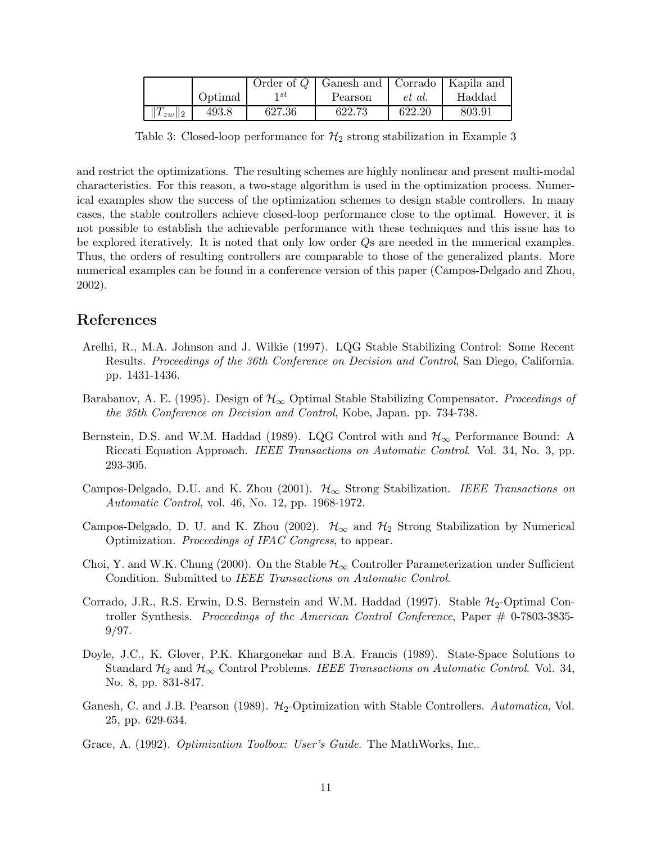|                |         |        | Order of $Q$   Ganesh and   Corrado   Kapila and |        |        |
|----------------|---------|--------|--------------------------------------------------|--------|--------|
|                | Optimal | 1 st   | Pearson                                          | et al. | Haddad |
| $  T_{zw}  _2$ | 493.8   | 627.36 | 622.73                                           | 622.20 | 803.91 |

Table 3: Closed-loop performance for  $\mathcal{H}_2$  strong stabilization in Example 3

and restrict the optimizations. The resulting schemes are highly nonlinear and present multi-modal characteristics. For this reason, a two-stage algorithm is used in the optimization process. Numerical examples show the success of the optimization schemes to design stable controllers. In many cases, the stable controllers achieve closed-loop performance close to the optimal. However, it is not possible to establish the achievable performance with these techniques and this issue has to be explored iteratively. It is noted that only low order Qs are needed in the numerical examples. Thus, the orders of resulting controllers are comparable to those of the generalized plants. More numerical examples can be found in a conference version of this paper (Campos-Delgado and Zhou, 2002).

### **References**

- Arelhi, R., M.A. Johnson and J. Wilkie (1997). LQG Stable Stabilizing Control: Some Recent Results. Proceedings of the 36th Conference on Decision and Control, San Diego, California. pp. 1431-1436.
- Barabanov, A. E. (1995). Design of  $\mathcal{H}_{\infty}$  Optimal Stable Stabilizing Compensator. Proceedings of the 35th Conference on Decision and Control, Kobe, Japan. pp. 734-738.
- Bernstein, D.S. and W.M. Haddad (1989). LQG Control with and  $\mathcal{H}_{\infty}$  Performance Bound: A Riccati Equation Approach. IEEE Transactions on Automatic Control. Vol. 34, No. 3, pp. 293-305.
- Campos-Delgado, D.U. and K. Zhou (2001).  $\mathcal{H}_{\infty}$  Strong Stabilization. IEEE Transactions on Automatic Control, vol. 46, No. 12, pp. 1968-1972.
- Campos-Delgado, D. U. and K. Zhou (2002).  $\mathcal{H}_{\infty}$  and  $\mathcal{H}_{2}$  Strong Stabilization by Numerical Optimization. Proceedings of IFAC Congress, to appear.
- Choi, Y. and W.K. Chung (2000). On the Stable  $\mathcal{H}_{\infty}$  Controller Parameterization under Sufficient Condition. Submitted to IEEE Transactions on Automatic Control.
- Corrado, J.R., R.S. Erwin, D.S. Bernstein and W.M. Haddad (1997). Stable  $\mathcal{H}_2$ -Optimal Controller Synthesis. Proceedings of the American Control Conference, Paper  $\#$  0-7803-3835-9/97.
- Doyle, J.C., K. Glover, P.K. Khargonekar and B.A. Francis (1989). State-Space Solutions to Standard  $\mathcal{H}_2$  and  $\mathcal{H}_{\infty}$  Control Problems. IEEE Transactions on Automatic Control. Vol. 34, No. 8, pp. 831-847.
- Ganesh, C. and J.B. Pearson (1989).  $H_2$ -Optimization with Stable Controllers. Automatica, Vol. 25, pp. 629-634.
- Grace, A. (1992). Optimization Toolbox: User's Guide. The MathWorks, Inc..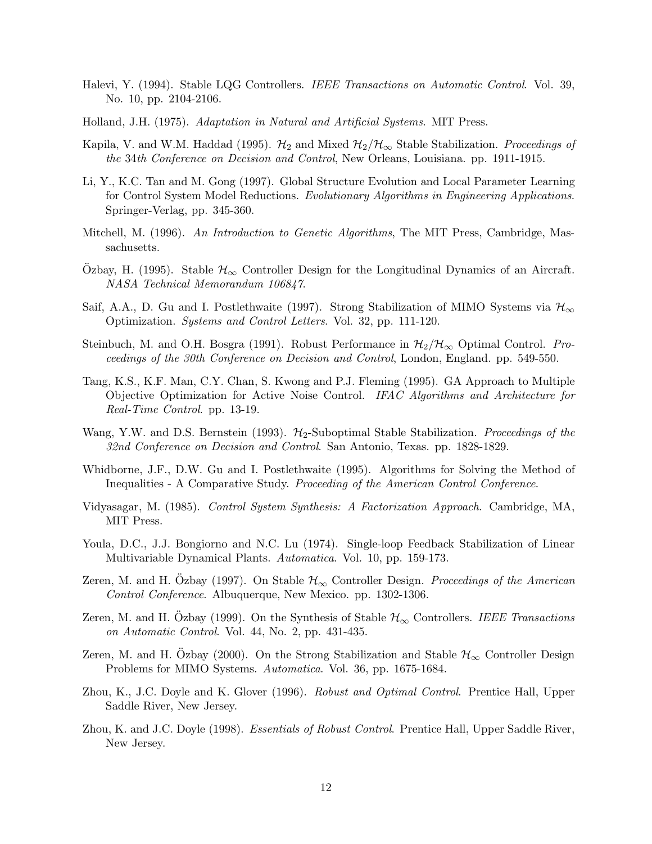- Halevi, Y. (1994). Stable LQG Controllers. IEEE Transactions on Automatic Control. Vol. 39, No. 10, pp. 2104-2106.
- Holland, J.H. (1975). Adaptation in Natural and Artificial Systems. MIT Press.
- Kapila, V. and W.M. Haddad (1995).  $\mathcal{H}_2$  and Mixed  $\mathcal{H}_2/\mathcal{H}_{\infty}$  Stable Stabilization. Proceedings of the 34th Conference on Decision and Control, New Orleans, Louisiana. pp. 1911-1915.
- Li, Y., K.C. Tan and M. Gong (1997). Global Structure Evolution and Local Parameter Learning for Control System Model Reductions. Evolutionary Algorithms in Engineering Applications. Springer-Verlag, pp. 345-360.
- Mitchell, M. (1996). An Introduction to Genetic Algorithms, The MIT Press, Cambridge, Massachusetts.
- Ozbay, H. (1995). Stable  $\mathcal{H}_{\infty}$  Controller Design for the Longitudinal Dynamics of an Aircraft. NASA Technical Memorandum 106847.
- Saif, A.A., D. Gu and I. Postlethwaite (1997). Strong Stabilization of MIMO Systems via  $\mathcal{H}_{\infty}$ Optimization. Systems and Control Letters. Vol. 32, pp. 111-120.
- Steinbuch, M. and O.H. Bosgra (1991). Robust Performance in  $H_2/H_{\infty}$  Optimal Control. Proceedings of the 30th Conference on Decision and Control, London, England. pp. 549-550.
- Tang, K.S., K.F. Man, C.Y. Chan, S. Kwong and P.J. Fleming (1995). GA Approach to Multiple Objective Optimization for Active Noise Control. IFAC Algorithms and Architecture for Real-Time Control. pp. 13-19.
- Wang, Y.W. and D.S. Bernstein (1993).  $H_2$ -Suboptimal Stable Stabilization. Proceedings of the 32nd Conference on Decision and Control. San Antonio, Texas. pp. 1828-1829.
- Whidborne, J.F., D.W. Gu and I. Postlethwaite (1995). Algorithms for Solving the Method of Inequalities - A Comparative Study. Proceeding of the American Control Conference.
- Vidyasagar, M. (1985). Control System Synthesis: A Factorization Approach. Cambridge, MA, MIT Press.
- Youla, D.C., J.J. Bongiorno and N.C. Lu (1974). Single-loop Feedback Stabilization of Linear Multivariable Dynamical Plants. Automatica. Vol. 10, pp. 159-173.
- Zeren, M. and H. Ozbay (1997). On Stable  $\mathcal{H}_{\infty}$  Controller Design. Proceedings of the American Control Conference. Albuquerque, New Mexico. pp. 1302-1306.
- Zeren, M. and H. Ozbay (1999). On the Synthesis of Stable  $\mathcal{H}_{\infty}$  Controllers. IEEE Transactions on Automatic Control. Vol. 44, No. 2, pp. 431-435.
- Zeren, M. and H. Ozbay (2000). On the Strong Stabilization and Stable  $\mathcal{H}_{\infty}$  Controller Design Problems for MIMO Systems. Automatica. Vol. 36, pp. 1675-1684.
- Zhou, K., J.C. Doyle and K. Glover (1996). Robust and Optimal Control. Prentice Hall, Upper Saddle River, New Jersey.
- Zhou, K. and J.C. Doyle (1998). *Essentials of Robust Control.* Prentice Hall, Upper Saddle River, New Jersey.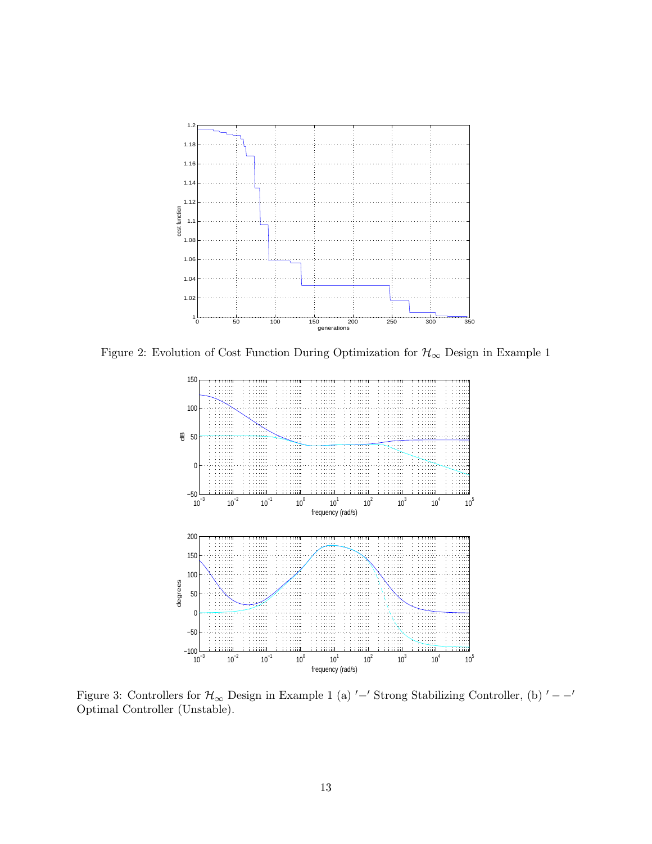

Figure 2: Evolution of Cost Function During Optimization for  $\mathcal{H}_{\infty}$  Design in Example 1



Figure 3: Controllers for  $\mathcal{H}_{\infty}$  Design in Example 1 (a)  $\prime$  –' Strong Stabilizing Controller, (b)  $\prime$  –  $\prime$ Optimal Controller (Unstable).